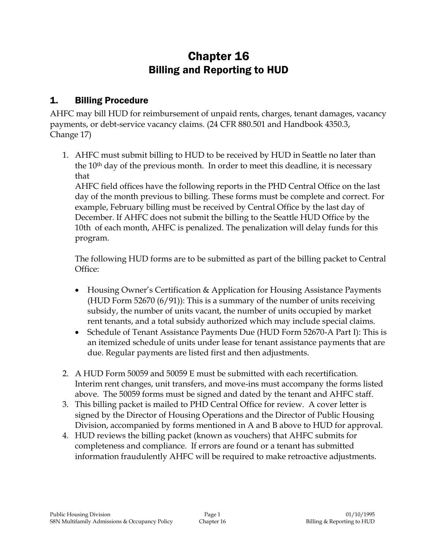# Chapter 16 Billing and Reporting to HUD

# 1. Billing Procedure

AHFC may bill HUD for reimbursement of unpaid rents, charges, tenant damages, vacancy payments, or debt-service vacancy claims. (24 CFR 880.501 and Handbook 4350.3, Change 17)

1. AHFC must submit billing to HUD to be received by HUD in Seattle no later than the 10th day of the previous month. In order to meet this deadline, it is necessary that

AHFC field offices have the following reports in the PHD Central Office on the last day of the month previous to billing. These forms must be complete and correct. For example, February billing must be received by Central Office by the last day of December. If AHFC does not submit the billing to the Seattle HUD Office by the 10th of each month, AHFC is penalized. The penalization will delay funds for this program.

The following HUD forms are to be submitted as part of the billing packet to Central Office:

- Housing Owner's Certification & Application for Housing Assistance Payments (HUD Form 52670 (6/91)): This is a summary of the number of units receiving subsidy, the number of units vacant, the number of units occupied by market rent tenants, and a total subsidy authorized which may include special claims.
- Schedule of Tenant Assistance Payments Due (HUD Form 52670-A Part I): This is an itemized schedule of units under lease for tenant assistance payments that are due. Regular payments are listed first and then adjustments.
- 2. A HUD Form 50059 and 50059 E must be submitted with each recertification. Interim rent changes, unit transfers, and move-ins must accompany the forms listed above. The 50059 forms must be signed and dated by the tenant and AHFC staff.
- 3. This billing packet is mailed to PHD Central Office for review. A cover letter is signed by the Director of Housing Operations and the Director of Public Housing Division, accompanied by forms mentioned in A and B above to HUD for approval.
- 4. HUD reviews the billing packet (known as vouchers) that AHFC submits for completeness and compliance. If errors are found or a tenant has submitted information fraudulently AHFC will be required to make retroactive adjustments.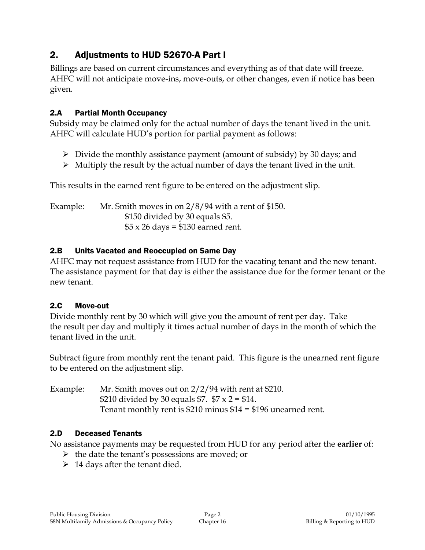# 2. Adjustments to HUD 52670-A Part I

Billings are based on current circumstances and everything as of that date will freeze. AHFC will not anticipate move-ins, move-outs, or other changes, even if notice has been given.

#### 2.A Partial Month Occupancy

Subsidy may be claimed only for the actual number of days the tenant lived in the unit. AHFC will calculate HUD's portion for partial payment as follows:

- $\triangleright$  Divide the monthly assistance payment (amount of subsidy) by 30 days; and
- $\triangleright$  Multiply the result by the actual number of days the tenant lived in the unit.

This results in the earned rent figure to be entered on the adjustment slip.

Example: Mr. Smith moves in on 2/8/94 with a rent of \$150. \$150 divided by 30 equals \$5.  $$5 \times 26$  days = \$130 earned rent.

### 2.B Units Vacated and Reoccupied on Same Day

AHFC may not request assistance from HUD for the vacating tenant and the new tenant. The assistance payment for that day is either the assistance due for the former tenant or the new tenant.

#### 2.C Move-out

Divide monthly rent by 30 which will give you the amount of rent per day. Take the result per day and multiply it times actual number of days in the month of which the tenant lived in the unit.

Subtract figure from monthly rent the tenant paid. This figure is the unearned rent figure to be entered on the adjustment slip.

Example: Mr. Smith moves out on 2/2/94 with rent at \$210. \$210 divided by 30 equals \$7.  $$7 \times 2 = $14$ . Tenant monthly rent is \$210 minus \$14 = \$196 unearned rent.

#### 2.D Deceased Tenants

No assistance payments may be requested from HUD for any period after the **earlier** of:

- $\triangleright$  the date the tenant's possessions are moved; or
- $\geq 14$  days after the tenant died.